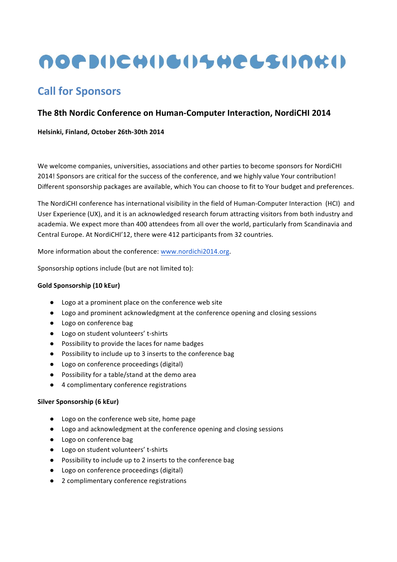# <u>NOP DISCHILE IN HELSINKIN</u>

## **Call for Sponsors**

### **The 8th Nordic Conference on Human-Computer Interaction, NordiCHI 2014**

Helsinki, Finland, October 26th-30th 2014

We welcome companies, universities, associations and other parties to become sponsors for NordiCHI 2014! Sponsors are critical for the success of the conference, and we highly value Your contribution! Different sponsorship packages are available, which You can choose to fit to Your budget and preferences.

The NordiCHI conference has international visibility in the field of Human-Computer Interaction (HCI) and User Experience (UX), and it is an acknowledged research forum attracting visitors from both industry and academia. We expect more than 400 attendees from all over the world, particularly from Scandinavia and Central Europe. At NordiCHI'12, there were 412 participants from 32 countries.

More information about the conference: www.nordichi2014.org.

Sponsorship options include (but are not limited to):

#### **Gold Sponsorship (10 kEur)**

- Logo at a prominent place on the conference web site
- Logo and prominent acknowledgment at the conference opening and closing sessions
- Logo on conference bag
- Logo on student volunteers' t-shirts
- Possibility to provide the laces for name badges
- Possibility to include up to 3 inserts to the conference bag
- Logo on conference proceedings (digital)
- Possibility for a table/stand at the demo area
- 4 complimentary conference registrations

#### **Silver Sponsorship (6 kEur)**

- Logo on the conference web site, home page
- Logo and acknowledgment at the conference opening and closing sessions
- Logo on conference bag
- Logo on student volunteers' t-shirts
- Possibility to include up to 2 inserts to the conference bag
- Logo on conference proceedings (digital)
- 2 complimentary conference registrations